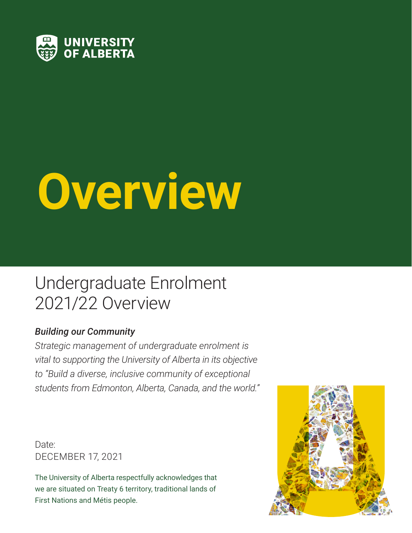

# **Overview**

### Undergraduate Enrolment 2021/22 Overview

#### *Building our Community*

*Strategic management of undergraduate enrolment is vital to supporting the University of Alberta in its objective to "Build a diverse, inclusive community of exceptional students from Edmonton, Alberta, Canada, and the world."*

Date: DECEMBER 17, 2021

The University of Alberta respectfully acknowledges that we are situated on Treaty 6 territory, traditional lands of First Nations and Métis people.

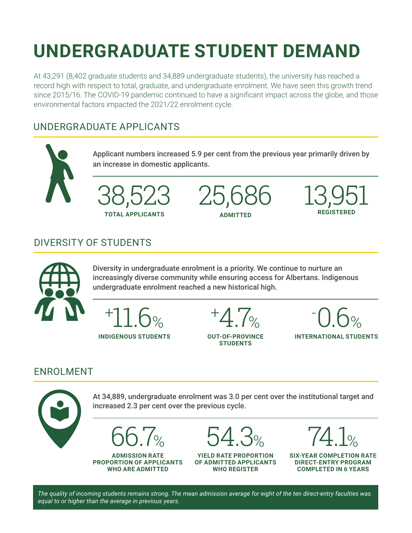# **UNDERGRADUATE STUDENT DEMAND**

At 43,291 (8,402 graduate students and 34,889 undergraduate students), the university has reached a record high with respect to total, graduate, and undergraduate enrolment. We have seen this growth trend since 2015/16. The COVID-19 pandemic continued to have a significant impact across the globe, and those environmental factors impacted the 2021/22 enrolment cycle.

#### UNDERGRADUATE APPLICANTS



#### DIVERSITY OF STUDENTS



Diversity in undergraduate enrolment is a priority. We continue to nurture an increasingly diverse community while ensuring access for Albertans. Indigenous undergraduate enrolment reached a new historical high.



+ 4.7%

**OUT-OF-PROVINCE STUDENTS**



#### ENROLMENT



*The quality of incoming students remains strong. The mean admission average for eight of the ten direct-entry faculties was equal to or higher than the average in previous years.*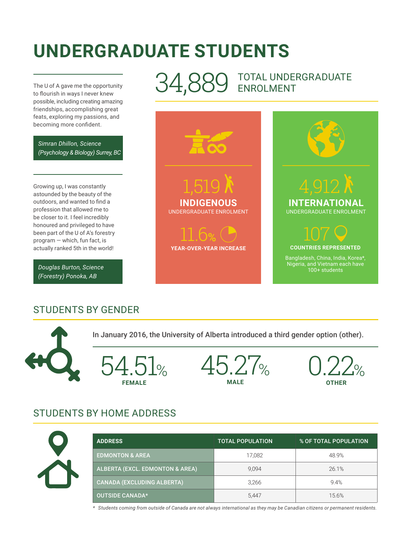## **UNDERGRADUATE STUDENTS**

The U of A gave me the opportunity to flourish in ways I never knew possible, including creating amazing friendships, accomplishing great feats, exploring my passions, and becoming more confident.

*Simran Dhillon, Science (Psychology & Biology) Surrey, BC*

Growing up, I was constantly astounded by the beauty of the outdoors, and wanted to find a profession that allowed me to be closer to it. I feel incredibly honoured and privileged to have been part of the U of A's forestry program — which, fun fact, is actually ranked 5th in the world!

*Douglas Burton, Science (Forestry) Ponoka, AB*

#### 34,889 TOTAL UNDERGRADUATE ENROLMENT



#### STUDENTS BY GENDER

In January 2016, the University of Alberta introduced a third gender option (other). 54.51% **FEMALE** 0.22% **OTHER** 45.27% **MALE**

#### STUDENTS BY HOME ADDRESS



| <b>ADDRESS</b>                             | <b>TOTAL POPULATION</b> | % OF TOTAL POPULATION |
|--------------------------------------------|-------------------------|-----------------------|
| <b>EDMONTON &amp; AREA</b>                 | 17,082                  | 48.9%                 |
| <b>ALBERTA (EXCL. EDMONTON &amp; AREA)</b> | 9.094                   | 26.1%                 |
| CANADA (EXCLUDING ALBERTA)                 | 3,266                   | 9.4%                  |
| <b>OUTSIDE CANADA*</b>                     | 5.447                   | 15.6%                 |

*\* Students coming from outside of Canada are not always international as they may be Canadian citizens or permanent residents.*